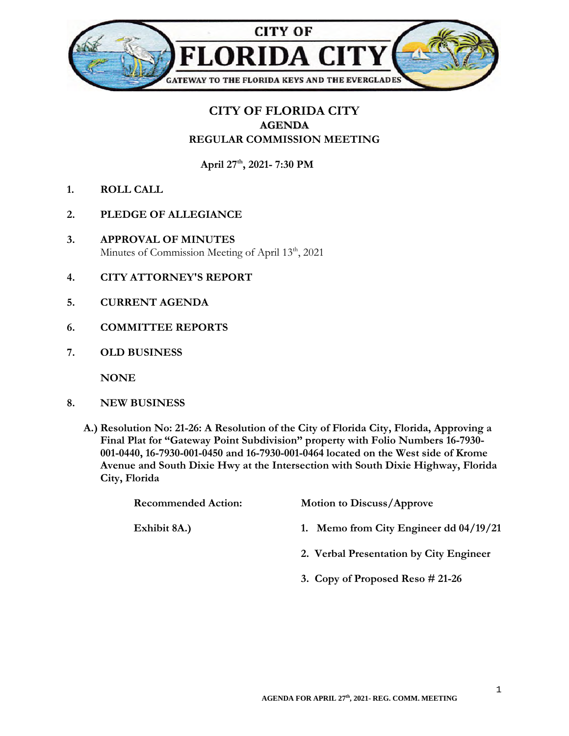

## **CITY OF FLORIDA CITY AGENDA REGULAR COMMISSION MEETING**

**April 27th, 2021- 7:30 PM** 

- **1. ROLL CALL**
- **2. PLEDGE OF ALLEGIANCE**
- **3. APPROVAL OF MINUTES**  Minutes of Commission Meeting of April 13<sup>th</sup>, 2021
- **4. CITY ATTORNEY'S REPORT**
- **5. CURRENT AGENDA**
- **6. COMMITTEE REPORTS**
- **7. OLD BUSINESS**

**NONE** 

- **8. NEW BUSINESS** 
	- **A.) Resolution No: 21-26: A Resolution of the City of Florida City, Florida, Approving a Final Plat for "Gateway Point Subdivision" property with Folio Numbers 16-7930- 001-0440, 16-7930-001-0450 and 16-7930-001-0464 located on the West side of Krome Avenue and South Dixie Hwy at the Intersection with South Dixie Highway, Florida City, Florida**

| <b>Recommended Action:</b> | <b>Motion to Discuss/Approve</b>         |
|----------------------------|------------------------------------------|
| Exhibit 8A.)               | 1. Memo from City Engineer dd $04/19/21$ |
|                            | 2. Verbal Presentation by City Engineer  |
|                            | 3. Copy of Proposed Reso $\#$ 21-26      |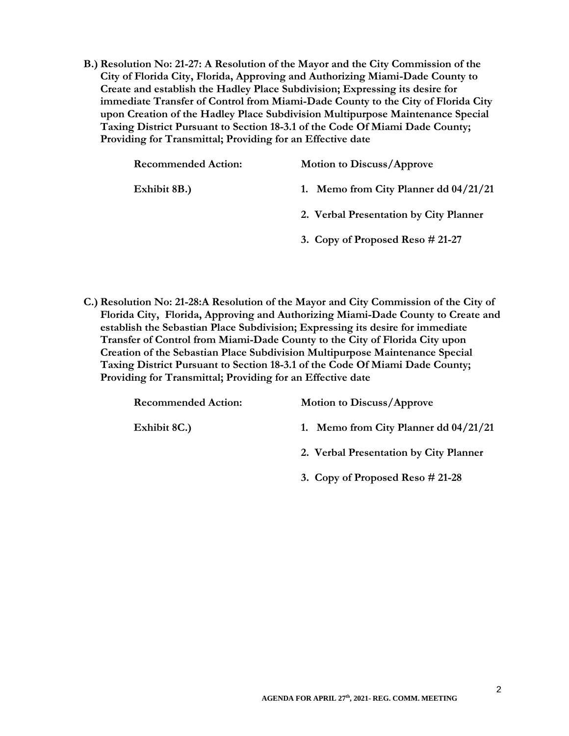**B.) Resolution No: 21-27: A Resolution of the Mayor and the City Commission of the City of Florida City, Florida, Approving and Authorizing Miami-Dade County to Create and establish the Hadley Place Subdivision; Expressing its desire for immediate Transfer of Control from Miami-Dade County to the City of Florida City upon Creation of the Hadley Place Subdivision Multipurpose Maintenance Special Taxing District Pursuant to Section 18-3.1 of the Code Of Miami Dade County; Providing for Transmittal; Providing for an Effective date** 

| <b>Recommended Action:</b> | <b>Motion to Discuss/Approve</b>       |
|----------------------------|----------------------------------------|
| Exhibit 8B.)               | 1. Memo from City Planner dd 04/21/21  |
|                            | 2. Verbal Presentation by City Planner |
|                            | 3. Copy of Proposed Reso $\# 21-27$    |

**C.) Resolution No: 21-28:A Resolution of the Mayor and City Commission of the City of Florida City, Florida, Approving and Authorizing Miami-Dade County to Create and establish the Sebastian Place Subdivision; Expressing its desire for immediate Transfer of Control from Miami-Dade County to the City of Florida City upon Creation of the Sebastian Place Subdivision Multipurpose Maintenance Special Taxing District Pursuant to Section 18-3.1 of the Code Of Miami Dade County; Providing for Transmittal; Providing for an Effective date** 

| <b>Recommended Action:</b> | <b>Motion to Discuss/Approve</b>        |
|----------------------------|-----------------------------------------|
| Exhibit 8C.)               | 1. Memo from City Planner dd $04/21/21$ |
|                            | 2. Verbal Presentation by City Planner  |
|                            | 3. Copy of Proposed Reso $#21-28$       |